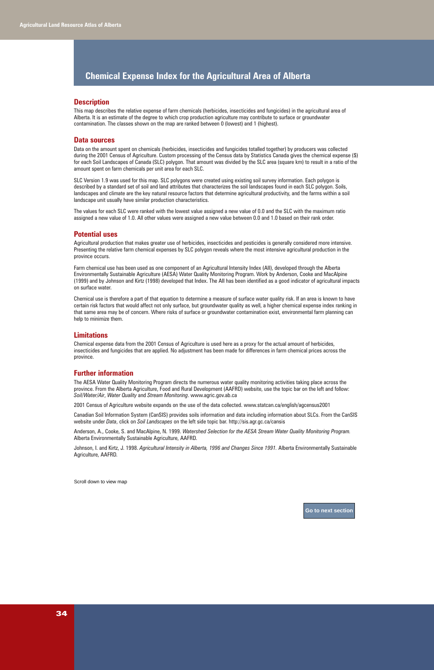

# **Chemical Expense Index for the Agricultural Area of Alberta**

#### **Description**

This map describes the relative expense of farm chemicals (herbicides, insecticides and fungicides) in the agricultural area of Alberta. It is an estimate of the degree to which crop production agriculture may contribute to surface or groundwater contamination. The classes shown on the map are ranked between 0 (lowest) and 1 (highest).

#### **Data sources**

Data on the amount spent on chemicals (herbicides, insecticides and fungicides totalled together) by producers was collected during the 2001 Census of Agriculture. Custom processing of the Census data by Statistics Canada gives the chemical expense (\$) for each Soil Landscapes of Canada (SLC) polygon. That amount was divided by the SLC area (square km) to result in a ratio of the amount spent on farm chemicals per unit area for each SLC.

SLC Version 1.9 was used for this map. SLC polygons were created using existing soil survey information. Each polygon is described by a standard set of soil and land attributes that characterizes the soil landscapes found in each SLC polygon. Soils, landscapes and climate are the key natural resource factors that determine agricultural productivity, and the farms within a soil landscape unit usually have similar production characteristics.

The values for each SLC were ranked with the lowest value assigned a new value of 0.0 and the SLC with the maximum ratio assigned a new value of 1.0. All other values were assigned a new value between 0.0 and 1.0 based on their rank order.

#### **Potential uses**

Agricultural production that makes greater use of herbicides, insecticides and pesticides is generally considered more intensive. Presenting the relative farm chemical expenses by SLC polygon reveals where the most intensive agricultural production in the province occurs.

Farm chemical use has been used as one component of an Agricultural Intensity Index (AII), developed through the Alberta Environmentally Sustainable Agriculture (AESA) Water Quality Monitoring Program. Work by Anderson, Cooke and MacAlpine (1999) and by Johnson and Kirtz (1998) developed that Index. The AII has been identified as a good indicator of agricultural impacts on surface water.

Chemical use is therefore a part of that equation to determine a measure of surface water quality risk. If an area is known to have certain risk factors that would affect not only surface, but groundwater quality as well, a higher chemical expense index ranking in that same area may be of concern. Where risks of surface or groundwater contamination exist, environmental farm planning can help to minimize them.

## **Limitations**

Chemical expense data from the 2001 Census of Agriculture is used here as a proxy for the actual amount of herbicides, insecticides and fungicides that are applied. No adjustment has been made for differences in farm chemical prices across the province.

## **Further information**

The AESA Water Quality Monitoring Program directs the numerous water quality monitoring activities taking place across the province. From the Alberta Agriculture, Food and Rural Development (AAFRD) website, use the topic bar on the left and follow: *Soil/Water/Air*, *Water Quality* and *Stream Monitoring*. www.agric.gov.ab.ca

2001 Census of Agriculture website expands on the use of the data collected. www.statcan.ca/english/agcensus2001

Canadian Soil Information System (CanSIS) provides soils information and data including information about SLCs. From the CanSIS website under *Data*, click on *Soil Landscapes* on the left side topic bar. http://sis.agr.gc.ca/cansis

Anderson, A., Cooke, S. and MacAlpine, N. 1999. *Watershed Selection for the AESA Stream Water Quality Monitoring Program.* Alberta Environmentally Sustainable Agriculture, AAFRD.

Johnson, I. and Kirtz, J. 1998. *Agricultural Intensity in Alberta, 1996 and Changes Since 1991.* Alberta Environmentally Sustainable Agriculture, AAFRD.

Scroll down to view map<br>
Go to next section